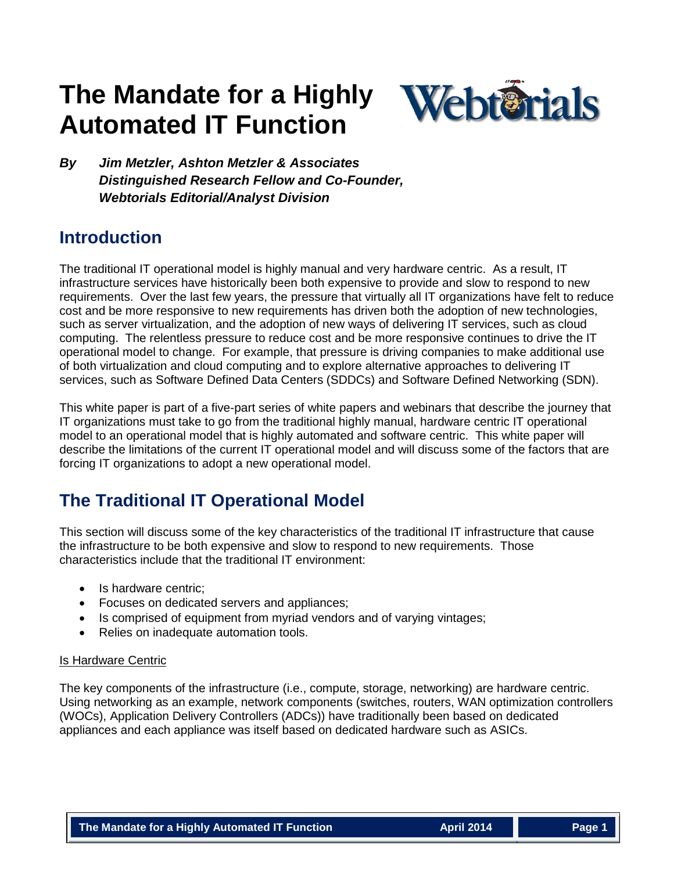# **The Mandate for a Highly Automated IT Function**



*By Jim Metzler, Ashton Metzler & Associates Distinguished Research Fellow and Co-Founder, Webtorials Editorial/Analyst Division*

### **Introduction**

The traditional IT operational model is highly manual and very hardware centric. As a result, IT infrastructure services have historically been both expensive to provide and slow to respond to new requirements. Over the last few years, the pressure that virtually all IT organizations have felt to reduce cost and be more responsive to new requirements has driven both the adoption of new technologies, such as server virtualization, and the adoption of new ways of delivering IT services, such as cloud computing. The relentless pressure to reduce cost and be more responsive continues to drive the IT operational model to change. For example, that pressure is driving companies to make additional use of both virtualization and cloud computing and to explore alternative approaches to delivering IT services, such as Software Defined Data Centers (SDDCs) and Software Defined Networking (SDN).

This white paper is part of a five-part series of white papers and webinars that describe the journey that IT organizations must take to go from the traditional highly manual, hardware centric IT operational model to an operational model that is highly automated and software centric. This white paper will describe the limitations of the current IT operational model and will discuss some of the factors that are forcing IT organizations to adopt a new operational model.

### **The Traditional IT Operational Model**

This section will discuss some of the key characteristics of the traditional IT infrastructure that cause the infrastructure to be both expensive and slow to respond to new requirements. Those characteristics include that the traditional IT environment:

- Is hardware centric:
- Focuses on dedicated servers and appliances;
- Is comprised of equipment from myriad vendors and of varying vintages;
- Relies on inadequate automation tools.

#### Is Hardware Centric

The key components of the infrastructure (i.e., compute, storage, networking) are hardware centric. Using networking as an example, network components (switches, routers, WAN optimization controllers (WOCs), Application Delivery Controllers (ADCs)) have traditionally been based on dedicated appliances and each appliance was itself based on dedicated hardware such as ASICs.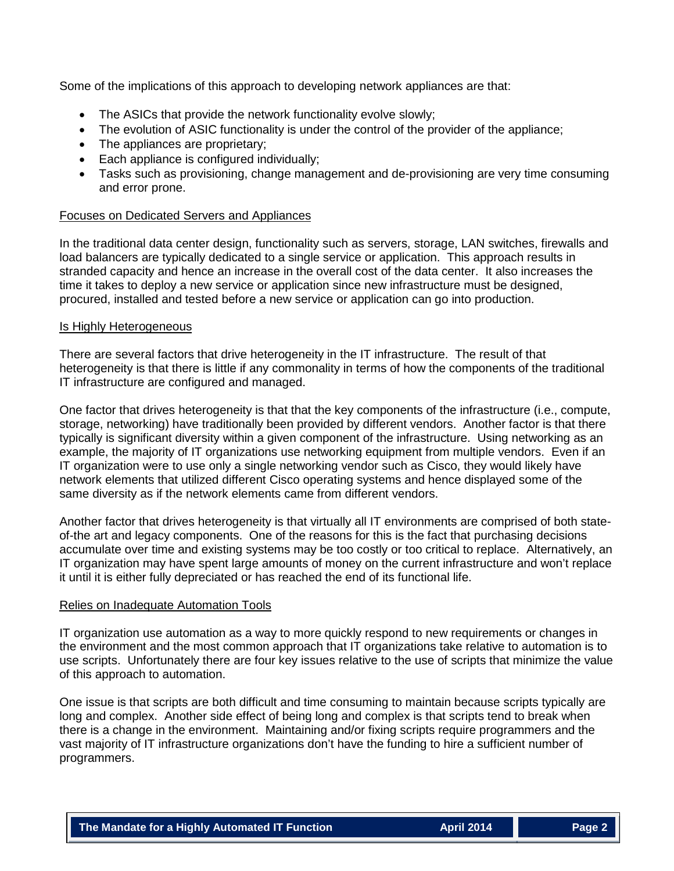Some of the implications of this approach to developing network appliances are that:

- The ASICs that provide the network functionality evolve slowly;
- The evolution of ASIC functionality is under the control of the provider of the appliance;
- The appliances are proprietary;
- Each appliance is configured individually:
- Tasks such as provisioning, change management and de-provisioning are very time consuming and error prone.

#### Focuses on Dedicated Servers and Appliances

In the traditional data center design, functionality such as servers, storage, LAN switches, firewalls and load balancers are typically dedicated to a single service or application. This approach results in stranded capacity and hence an increase in the overall cost of the data center. It also increases the time it takes to deploy a new service or application since new infrastructure must be designed, procured, installed and tested before a new service or application can go into production.

#### Is Highly Heterogeneous

There are several factors that drive heterogeneity in the IT infrastructure. The result of that heterogeneity is that there is little if any commonality in terms of how the components of the traditional IT infrastructure are configured and managed.

One factor that drives heterogeneity is that that the key components of the infrastructure (i.e., compute, storage, networking) have traditionally been provided by different vendors. Another factor is that there typically is significant diversity within a given component of the infrastructure. Using networking as an example, the majority of IT organizations use networking equipment from multiple vendors. Even if an IT organization were to use only a single networking vendor such as Cisco, they would likely have network elements that utilized different Cisco operating systems and hence displayed some of the same diversity as if the network elements came from different vendors.

Another factor that drives heterogeneity is that virtually all IT environments are comprised of both stateof-the art and legacy components. One of the reasons for this is the fact that purchasing decisions accumulate over time and existing systems may be too costly or too critical to replace. Alternatively, an IT organization may have spent large amounts of money on the current infrastructure and won't replace it until it is either fully depreciated or has reached the end of its functional life.

#### Relies on Inadequate Automation Tools

IT organization use automation as a way to more quickly respond to new requirements or changes in the environment and the most common approach that IT organizations take relative to automation is to use scripts. Unfortunately there are four key issues relative to the use of scripts that minimize the value of this approach to automation.

One issue is that scripts are both difficult and time consuming to maintain because scripts typically are long and complex. Another side effect of being long and complex is that scripts tend to break when there is a change in the environment. Maintaining and/or fixing scripts require programmers and the vast majority of IT infrastructure organizations don't have the funding to hire a sufficient number of programmers.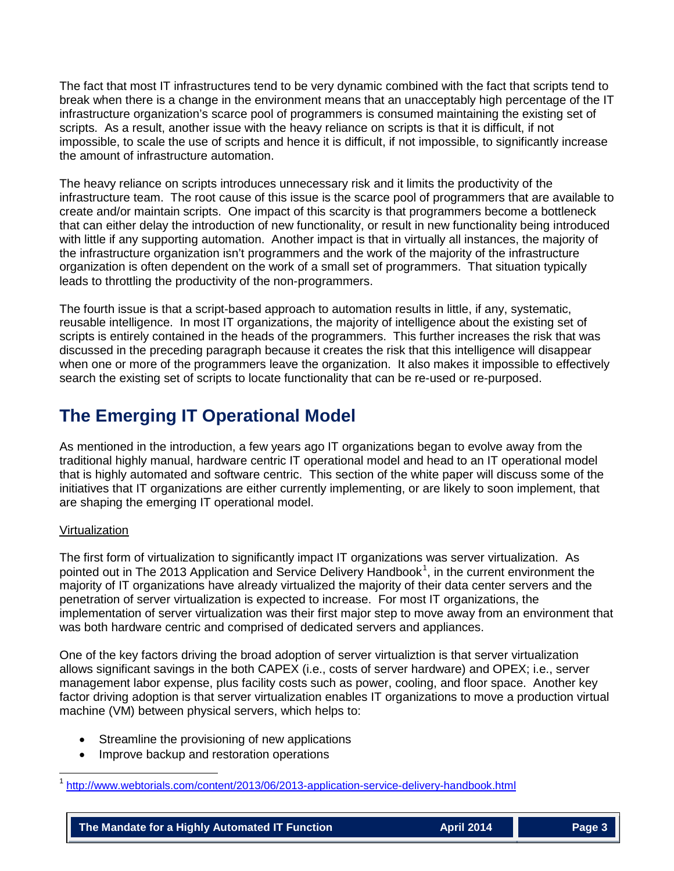The fact that most IT infrastructures tend to be very dynamic combined with the fact that scripts tend to break when there is a change in the environment means that an unacceptably high percentage of the IT infrastructure organization's scarce pool of programmers is consumed maintaining the existing set of scripts. As a result, another issue with the heavy reliance on scripts is that it is difficult, if not impossible, to scale the use of scripts and hence it is difficult, if not impossible, to significantly increase the amount of infrastructure automation.

The heavy reliance on scripts introduces unnecessary risk and it limits the productivity of the infrastructure team. The root cause of this issue is the scarce pool of programmers that are available to create and/or maintain scripts. One impact of this scarcity is that programmers become a bottleneck that can either delay the introduction of new functionality, or result in new functionality being introduced with little if any supporting automation. Another impact is that in virtually all instances, the majority of the infrastructure organization isn't programmers and the work of the majority of the infrastructure organization is often dependent on the work of a small set of programmers. That situation typically leads to throttling the productivity of the non-programmers.

The fourth issue is that a script-based approach to automation results in little, if any, systematic, reusable intelligence. In most IT organizations, the majority of intelligence about the existing set of scripts is entirely contained in the heads of the programmers. This further increases the risk that was discussed in the preceding paragraph because it creates the risk that this intelligence will disappear when one or more of the programmers leave the organization. It also makes it impossible to effectively search the existing set of scripts to locate functionality that can be re-used or re-purposed.

## **The Emerging IT Operational Model**

As mentioned in the introduction, a few years ago IT organizations began to evolve away from the traditional highly manual, hardware centric IT operational model and head to an IT operational model that is highly automated and software centric. This section of the white paper will discuss some of the initiatives that IT organizations are either currently implementing, or are likely to soon implement, that are shaping the emerging IT operational model.

#### Virtualization

The first form of virtualization to significantly impact IT organizations was server virtualization. As pointed out in The 20[1](#page-2-0)3 Application and Service Delivery Handbook<sup>1</sup>, in the current environment the majority of IT organizations have already virtualized the majority of their data center servers and the penetration of server virtualization is expected to increase. For most IT organizations, the implementation of server virtualization was their first major step to move away from an environment that was both hardware centric and comprised of dedicated servers and appliances.

One of the key factors driving the broad adoption of server virtualiztion is that server virtualization allows significant savings in the both CAPEX (i.e., costs of server hardware) and OPEX; i.e., server management labor expense, plus facility costs such as power, cooling, and floor space. Another key factor driving adoption is that server virtualization enables IT organizations to move a production virtual machine (VM) between physical servers, which helps to:

- Streamline the provisioning of new applications
- Improve backup and restoration operations

<span id="page-2-0"></span> <sup>1</sup> <http://www.webtorials.com/content/2013/06/2013-application-service-delivery-handbook.html>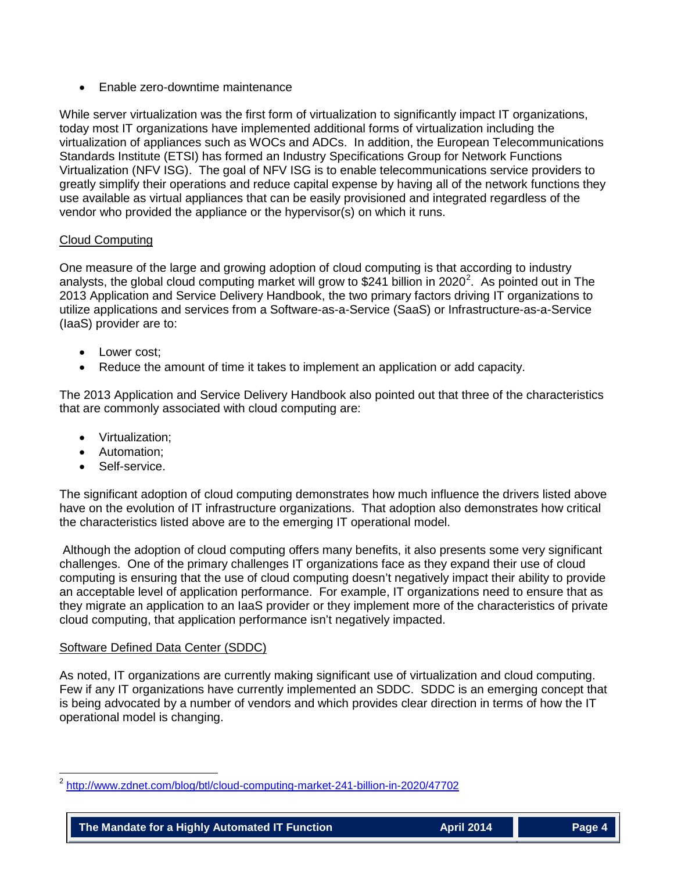• Enable zero-downtime maintenance

While server virtualization was the first form of virtualization to significantly impact IT organizations, today most IT organizations have implemented additional forms of virtualization including the virtualization of appliances such as WOCs and ADCs. In addition, the European Telecommunications Standards Institute (ETSI) has formed an Industry Specifications Group for Network Functions Virtualization (NFV ISG). The goal of NFV ISG is to enable telecommunications service providers to greatly simplify their operations and reduce capital expense by having all of the network functions they use available as virtual appliances that can be easily provisioned and integrated regardless of the vendor who provided the appliance or the hypervisor(s) on which it runs.

#### Cloud Computing

One measure of the large and growing adoption of cloud computing is that according to industry analysts, the global cloud computing market will grow to \$[2](#page-3-0)41 billion in 2020<sup>2</sup>. As pointed out in The 2013 Application and Service Delivery Handbook, the two primary factors driving IT organizations to utilize applications and services from a Software-as-a-Service (SaaS) or Infrastructure-as-a-Service (IaaS) provider are to:

- Lower cost:
- Reduce the amount of time it takes to implement an application or add capacity.

The 2013 Application and Service Delivery Handbook also pointed out that three of the characteristics that are commonly associated with cloud computing are:

- Virtualization;
- Automation;
- Self-service.

The significant adoption of cloud computing demonstrates how much influence the drivers listed above have on the evolution of IT infrastructure organizations. That adoption also demonstrates how critical the characteristics listed above are to the emerging IT operational model.

Although the adoption of cloud computing offers many benefits, it also presents some very significant challenges. One of the primary challenges IT organizations face as they expand their use of cloud computing is ensuring that the use of cloud computing doesn't negatively impact their ability to provide an acceptable level of application performance. For example, IT organizations need to ensure that as they migrate an application to an IaaS provider or they implement more of the characteristics of private cloud computing, that application performance isn't negatively impacted.

#### Software Defined Data Center (SDDC)

As noted, IT organizations are currently making significant use of virtualization and cloud computing. Few if any IT organizations have currently implemented an SDDC. SDDC is an emerging concept that is being advocated by a number of vendors and which provides clear direction in terms of how the IT operational model is changing.

<span id="page-3-0"></span> <sup>2</sup> <http://www.zdnet.com/blog/btl/cloud-computing-market-241-billion-in-2020/47702>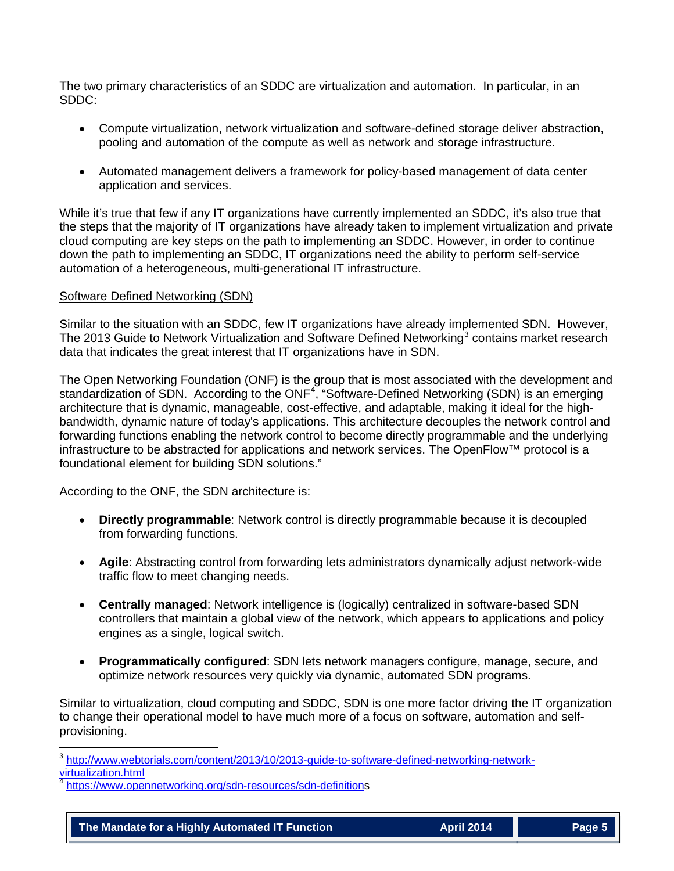The two primary characteristics of an SDDC are virtualization and automation. In particular, in an SDDC:

- Compute virtualization, network virtualization and software-defined storage deliver abstraction, pooling and automation of the compute as well as network and storage infrastructure.
- Automated management delivers a framework for policy-based management of data center application and services.

While it's true that few if any IT organizations have currently implemented an SDDC, it's also true that the steps that the majority of IT organizations have already taken to implement virtualization and private cloud computing are key steps on the path to implementing an SDDC. However, in order to continue down the path to implementing an SDDC, IT organizations need the ability to perform self-service automation of a heterogeneous, multi-generational IT infrastructure.

#### Software Defined Networking (SDN)

Similar to the situation with an SDDC, few IT organizations have already implemented SDN. However, The 201[3](#page-4-0) Guide to Network Virtualization and Software Defined Networking<sup>3</sup> contains market research data that indicates the great interest that IT organizations have in SDN.

The Open Networking Foundation (ONF) is the group that is most associated with the development and standardization of SDN. According to the ONF<sup>[4](#page-4-1)</sup>, "Software-Defined Networking (SDN) is an emerging architecture that is dynamic, manageable, cost-effective, and adaptable, making it ideal for the highbandwidth, dynamic nature of today's applications. This architecture decouples the network control and forwarding functions enabling the network control to become directly programmable and the underlying infrastructure to be abstracted for applications and network services. The OpenFlow™ protocol is a foundational element for building SDN solutions."

According to the ONF, the SDN architecture is:

- **Directly programmable**: Network control is directly programmable because it is decoupled from forwarding functions.
- **Agile**: Abstracting control from forwarding lets administrators dynamically adjust network-wide traffic flow to meet changing needs.
- **Centrally managed**: Network intelligence is (logically) centralized in software-based SDN controllers that maintain a global view of the network, which appears to applications and policy engines as a single, logical switch.
- **Programmatically configured**: SDN lets network managers configure, manage, secure, and optimize network resources very quickly via dynamic, automated SDN programs.

Similar to virtualization, cloud computing and SDDC, SDN is one more factor driving the IT organization to change their operational model to have much more of a focus on software, automation and selfprovisioning.

<span id="page-4-0"></span> <sup>3</sup> [http://www.webtorials.com/content/2013/10/2013-guide-to-software-defined-networking-network](http://www.webtorials.com/content/2013/10/2013-guide-to-software-defined-networking-network-virtualization.html)[virtualization.html](http://www.webtorials.com/content/2013/10/2013-guide-to-software-defined-networking-network-virtualization.html)

<span id="page-4-1"></span>[https://www.opennetworking.org/sdn-resources/sdn-definitions](https://www.opennetworking.org/sdn-resources/sdn-definition)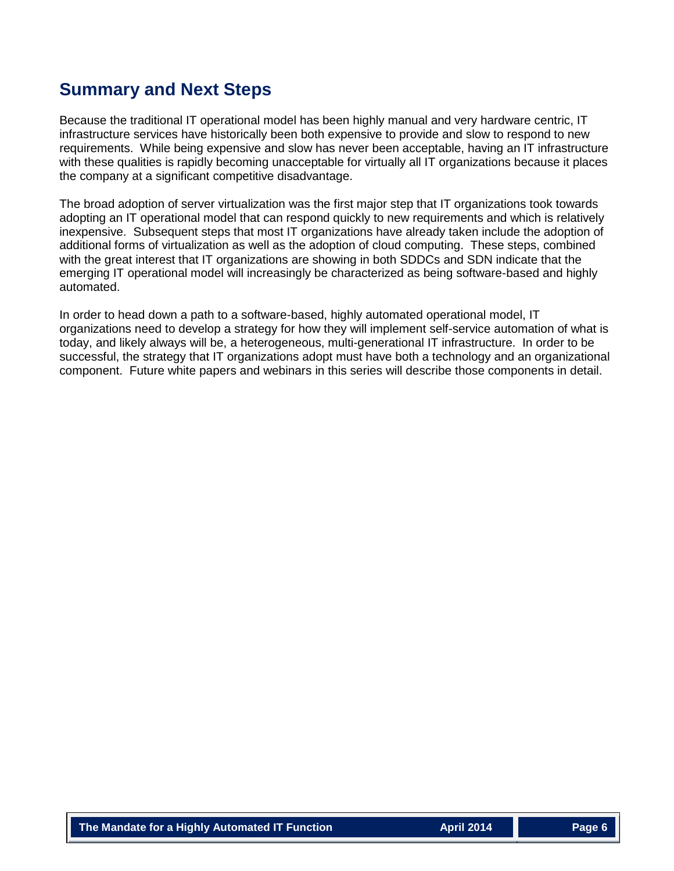### **Summary and Next Steps**

Because the traditional IT operational model has been highly manual and very hardware centric, IT infrastructure services have historically been both expensive to provide and slow to respond to new requirements. While being expensive and slow has never been acceptable, having an IT infrastructure with these qualities is rapidly becoming unacceptable for virtually all IT organizations because it places the company at a significant competitive disadvantage.

The broad adoption of server virtualization was the first major step that IT organizations took towards adopting an IT operational model that can respond quickly to new requirements and which is relatively inexpensive. Subsequent steps that most IT organizations have already taken include the adoption of additional forms of virtualization as well as the adoption of cloud computing. These steps, combined with the great interest that IT organizations are showing in both SDDCs and SDN indicate that the emerging IT operational model will increasingly be characterized as being software-based and highly automated.

In order to head down a path to a software-based, highly automated operational model, IT organizations need to develop a strategy for how they will implement self-service automation of what is today, and likely always will be, a heterogeneous, multi-generational IT infrastructure. In order to be successful, the strategy that IT organizations adopt must have both a technology and an organizational component. Future white papers and webinars in this series will describe those components in detail.